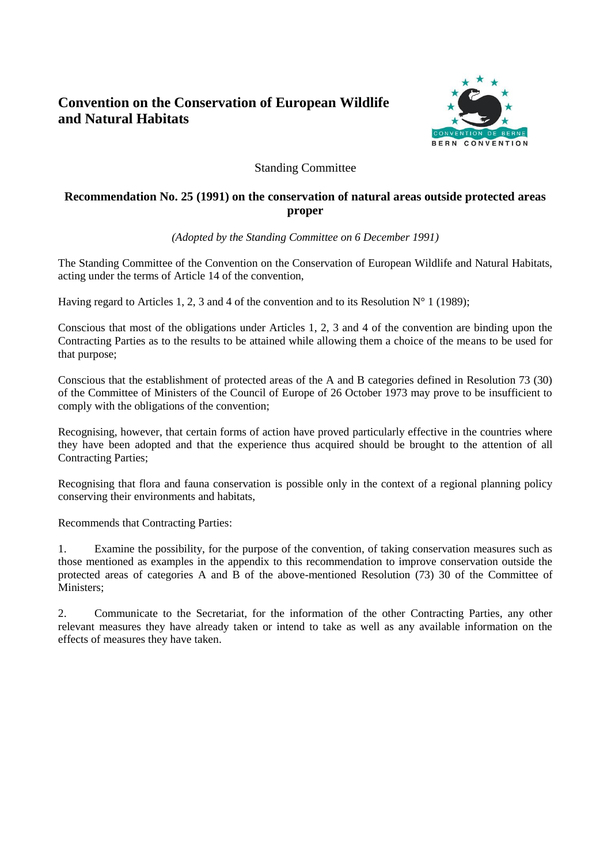# **Convention on the Conservation of European Wildlife and Natural Habitats**



# Standing Committee

# **Recommendation No. 25 (1991) on the conservation of natural areas outside protected areas proper**

*(Adopted by the Standing Committee on 6 December 1991)*

The Standing Committee of the Convention on the Conservation of European Wildlife and Natural Habitats, acting under the terms of Article 14 of the convention,

Having regard to Articles 1, 2, 3 and 4 of the convention and to its Resolution  $N^{\circ}$  1 (1989);

Conscious that most of the obligations under Articles 1, 2, 3 and 4 of the convention are binding upon the Contracting Parties as to the results to be attained while allowing them a choice of the means to be used for that purpose;

Conscious that the establishment of protected areas of the A and B categories defined in Resolution 73 (30) of the Committee of Ministers of the Council of Europe of 26 October 1973 may prove to be insufficient to comply with the obligations of the convention;

Recognising, however, that certain forms of action have proved particularly effective in the countries where they have been adopted and that the experience thus acquired should be brought to the attention of all Contracting Parties;

Recognising that flora and fauna conservation is possible only in the context of a regional planning policy conserving their environments and habitats,

Recommends that Contracting Parties:

1. Examine the possibility, for the purpose of the convention, of taking conservation measures such as those mentioned as examples in the appendix to this recommendation to improve conservation outside the protected areas of categories A and B of the above-mentioned Resolution (73) 30 of the Committee of Ministers:

2. Communicate to the Secretariat, for the information of the other Contracting Parties, any other relevant measures they have already taken or intend to take as well as any available information on the effects of measures they have taken.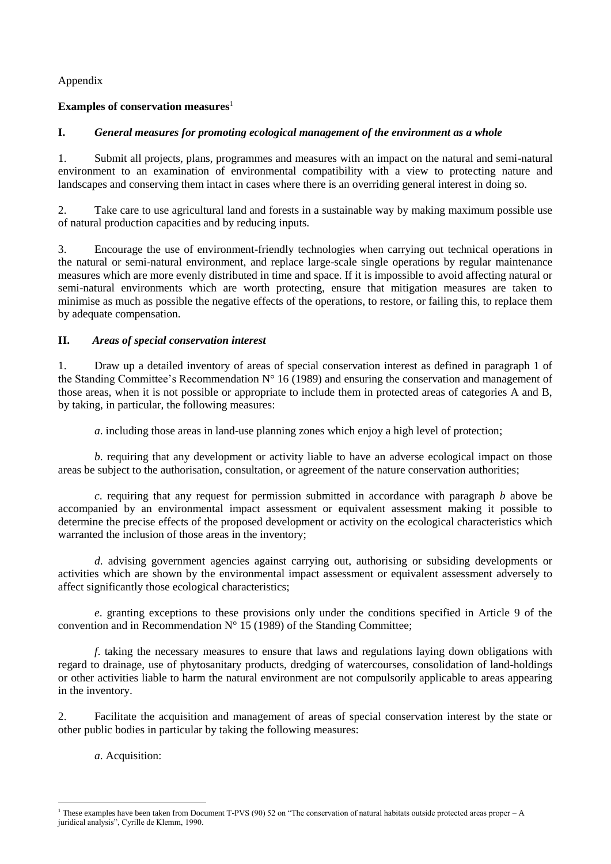Appendix

# **Examples of conservation measures**<sup>1</sup>

# **I.** *General measures for promoting ecological management of the environment as a whole*

1. Submit all projects, plans, programmes and measures with an impact on the natural and semi-natural environment to an examination of environmental compatibility with a view to protecting nature and landscapes and conserving them intact in cases where there is an overriding general interest in doing so.

2. Take care to use agricultural land and forests in a sustainable way by making maximum possible use of natural production capacities and by reducing inputs.

3. Encourage the use of environment-friendly technologies when carrying out technical operations in the natural or semi-natural environment, and replace large-scale single operations by regular maintenance measures which are more evenly distributed in time and space. If it is impossible to avoid affecting natural or semi-natural environments which are worth protecting, ensure that mitigation measures are taken to minimise as much as possible the negative effects of the operations, to restore, or failing this, to replace them by adequate compensation.

# **II.** *Areas of special conservation interest*

1. Draw up a detailed inventory of areas of special conservation interest as defined in paragraph 1 of the Standing Committee's Recommendation N° 16 (1989) and ensuring the conservation and management of those areas, when it is not possible or appropriate to include them in protected areas of categories A and B, by taking, in particular, the following measures:

*a*. including those areas in land-use planning zones which enjoy a high level of protection;

*b*. requiring that any development or activity liable to have an adverse ecological impact on those areas be subject to the authorisation, consultation, or agreement of the nature conservation authorities;

*c*. requiring that any request for permission submitted in accordance with paragraph *b* above be accompanied by an environmental impact assessment or equivalent assessment making it possible to determine the precise effects of the proposed development or activity on the ecological characteristics which warranted the inclusion of those areas in the inventory;

*d*. advising government agencies against carrying out, authorising or subsiding developments or activities which are shown by the environmental impact assessment or equivalent assessment adversely to affect significantly those ecological characteristics;

*e*. granting exceptions to these provisions only under the conditions specified in Article 9 of the convention and in Recommendation  $N^{\circ}$  15 (1989) of the Standing Committee;

*f*. taking the necessary measures to ensure that laws and regulations laying down obligations with regard to drainage, use of phytosanitary products, dredging of watercourses, consolidation of land-holdings or other activities liable to harm the natural environment are not compulsorily applicable to areas appearing in the inventory.

2. Facilitate the acquisition and management of areas of special conservation interest by the state or other public bodies in particular by taking the following measures:

*a*. Acquisition:

1

<sup>&</sup>lt;sup>1</sup> These examples have been taken from Document T-PVS (90) 52 on "The conservation of natural habitats outside protected areas proper – A juridical analysis", Cyrille de Klemm, 1990.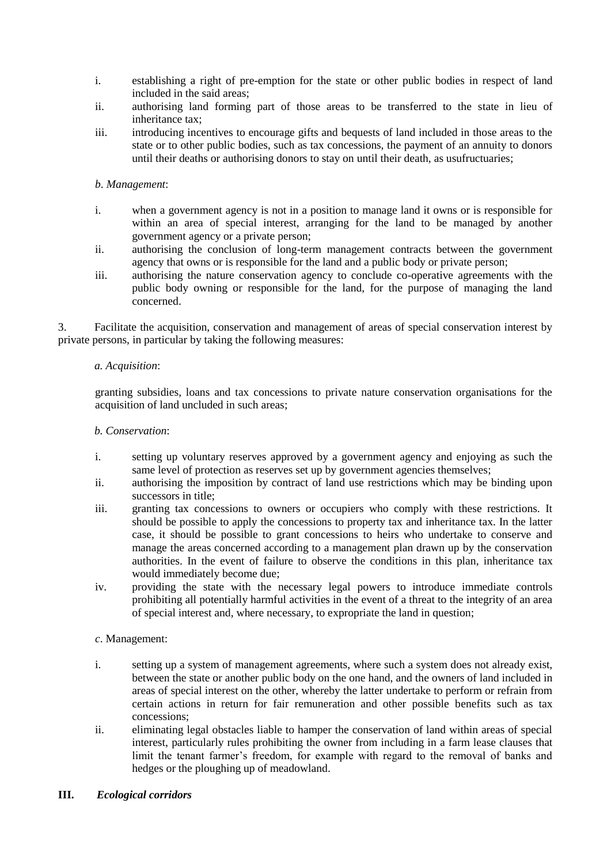- i. establishing a right of pre-emption for the state or other public bodies in respect of land included in the said areas;
- ii. authorising land forming part of those areas to be transferred to the state in lieu of inheritance tax;
- iii. introducing incentives to encourage gifts and bequests of land included in those areas to the state or to other public bodies, such as tax concessions, the payment of an annuity to donors until their deaths or authorising donors to stay on until their death, as usufructuaries;

### *b*. *Management*:

- i. when a government agency is not in a position to manage land it owns or is responsible for within an area of special interest, arranging for the land to be managed by another government agency or a private person;
- ii. authorising the conclusion of long-term management contracts between the government agency that owns or is responsible for the land and a public body or private person;
- iii. authorising the nature conservation agency to conclude co-operative agreements with the public body owning or responsible for the land, for the purpose of managing the land concerned.

3. Facilitate the acquisition, conservation and management of areas of special conservation interest by private persons, in particular by taking the following measures:

### *a. Acquisition*:

granting subsidies, loans and tax concessions to private nature conservation organisations for the acquisition of land uncluded in such areas;

### *b. Conservation*:

- i. setting up voluntary reserves approved by a government agency and enjoying as such the same level of protection as reserves set up by government agencies themselves;
- ii. authorising the imposition by contract of land use restrictions which may be binding upon successors in title;
- iii. granting tax concessions to owners or occupiers who comply with these restrictions. It should be possible to apply the concessions to property tax and inheritance tax. In the latter case, it should be possible to grant concessions to heirs who undertake to conserve and manage the areas concerned according to a management plan drawn up by the conservation authorities. In the event of failure to observe the conditions in this plan, inheritance tax would immediately become due;
- iv. providing the state with the necessary legal powers to introduce immediate controls prohibiting all potentially harmful activities in the event of a threat to the integrity of an area of special interest and, where necessary, to expropriate the land in question;

### *c*. Management:

- i. setting up a system of management agreements, where such a system does not already exist, between the state or another public body on the one hand, and the owners of land included in areas of special interest on the other, whereby the latter undertake to perform or refrain from certain actions in return for fair remuneration and other possible benefits such as tax concessions;
- ii. eliminating legal obstacles liable to hamper the conservation of land within areas of special interest, particularly rules prohibiting the owner from including in a farm lease clauses that limit the tenant farmer's freedom, for example with regard to the removal of banks and hedges or the ploughing up of meadowland.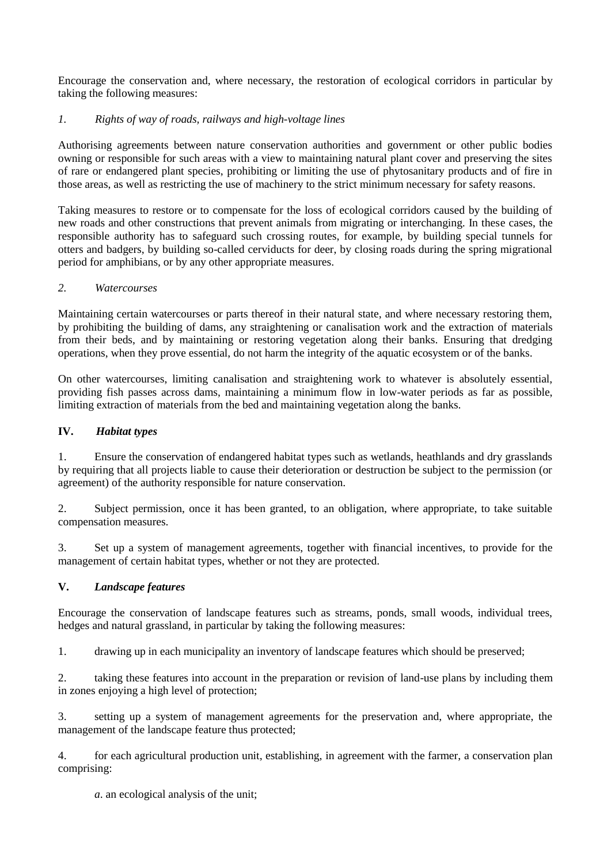Encourage the conservation and, where necessary, the restoration of ecological corridors in particular by taking the following measures:

### *1. Rights of way of roads, railways and high-voltage lines*

Authorising agreements between nature conservation authorities and government or other public bodies owning or responsible for such areas with a view to maintaining natural plant cover and preserving the sites of rare or endangered plant species, prohibiting or limiting the use of phytosanitary products and of fire in those areas, as well as restricting the use of machinery to the strict minimum necessary for safety reasons.

Taking measures to restore or to compensate for the loss of ecological corridors caused by the building of new roads and other constructions that prevent animals from migrating or interchanging. In these cases, the responsible authority has to safeguard such crossing routes, for example, by building special tunnels for otters and badgers, by building so-called cerviducts for deer, by closing roads during the spring migrational period for amphibians, or by any other appropriate measures.

### *2. Watercourses*

Maintaining certain watercourses or parts thereof in their natural state, and where necessary restoring them, by prohibiting the building of dams, any straightening or canalisation work and the extraction of materials from their beds, and by maintaining or restoring vegetation along their banks. Ensuring that dredging operations, when they prove essential, do not harm the integrity of the aquatic ecosystem or of the banks.

On other watercourses, limiting canalisation and straightening work to whatever is absolutely essential, providing fish passes across dams, maintaining a minimum flow in low-water periods as far as possible, limiting extraction of materials from the bed and maintaining vegetation along the banks.

### **IV.** *Habitat types*

1. Ensure the conservation of endangered habitat types such as wetlands, heathlands and dry grasslands by requiring that all projects liable to cause their deterioration or destruction be subject to the permission (or agreement) of the authority responsible for nature conservation.

2. Subject permission, once it has been granted, to an obligation, where appropriate, to take suitable compensation measures.

3. Set up a system of management agreements, together with financial incentives, to provide for the management of certain habitat types, whether or not they are protected.

### **V.** *Landscape features*

Encourage the conservation of landscape features such as streams, ponds, small woods, individual trees, hedges and natural grassland, in particular by taking the following measures:

1. drawing up in each municipality an inventory of landscape features which should be preserved;

2. taking these features into account in the preparation or revision of land-use plans by including them in zones enjoying a high level of protection;

3. setting up a system of management agreements for the preservation and, where appropriate, the management of the landscape feature thus protected;

4. for each agricultural production unit, establishing, in agreement with the farmer, a conservation plan comprising:

*a*. an ecological analysis of the unit;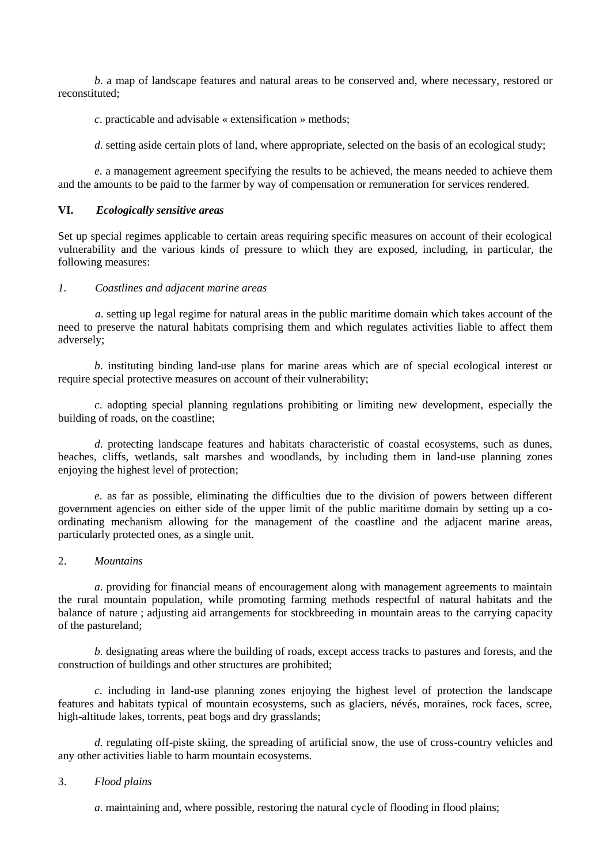*b*. a map of landscape features and natural areas to be conserved and, where necessary, restored or reconstituted;

*c*. practicable and advisable « extensification » methods;

*d*. setting aside certain plots of land, where appropriate, selected on the basis of an ecological study;

*e*. a management agreement specifying the results to be achieved, the means needed to achieve them and the amounts to be paid to the farmer by way of compensation or remuneration for services rendered.

#### **VI.** *Ecologically sensitive areas*

Set up special regimes applicable to certain areas requiring specific measures on account of their ecological vulnerability and the various kinds of pressure to which they are exposed, including, in particular, the following measures:

#### *1. Coastlines and adjacent marine areas*

*a*. setting up legal regime for natural areas in the public maritime domain which takes account of the need to preserve the natural habitats comprising them and which regulates activities liable to affect them adversely;

*b*. instituting binding land-use plans for marine areas which are of special ecological interest or require special protective measures on account of their vulnerability;

*c*. adopting special planning regulations prohibiting or limiting new development, especially the building of roads, on the coastline;

*d*. protecting landscape features and habitats characteristic of coastal ecosystems, such as dunes, beaches, cliffs, wetlands, salt marshes and woodlands, by including them in land-use planning zones enjoying the highest level of protection;

*e*. as far as possible, eliminating the difficulties due to the division of powers between different government agencies on either side of the upper limit of the public maritime domain by setting up a coordinating mechanism allowing for the management of the coastline and the adjacent marine areas, particularly protected ones, as a single unit.

#### 2. *Mountains*

*a*. providing for financial means of encouragement along with management agreements to maintain the rural mountain population, while promoting farming methods respectful of natural habitats and the balance of nature ; adjusting aid arrangements for stockbreeding in mountain areas to the carrying capacity of the pastureland;

*b*. designating areas where the building of roads, except access tracks to pastures and forests, and the construction of buildings and other structures are prohibited;

*c*. including in land-use planning zones enjoying the highest level of protection the landscape features and habitats typical of mountain ecosystems, such as glaciers, névés, moraines, rock faces, scree, high-altitude lakes, torrents, peat bogs and dry grasslands;

*d*. regulating off-piste skiing, the spreading of artificial snow, the use of cross-country vehicles and any other activities liable to harm mountain ecosystems.

#### 3. *Flood plains*

*a*. maintaining and, where possible, restoring the natural cycle of flooding in flood plains;